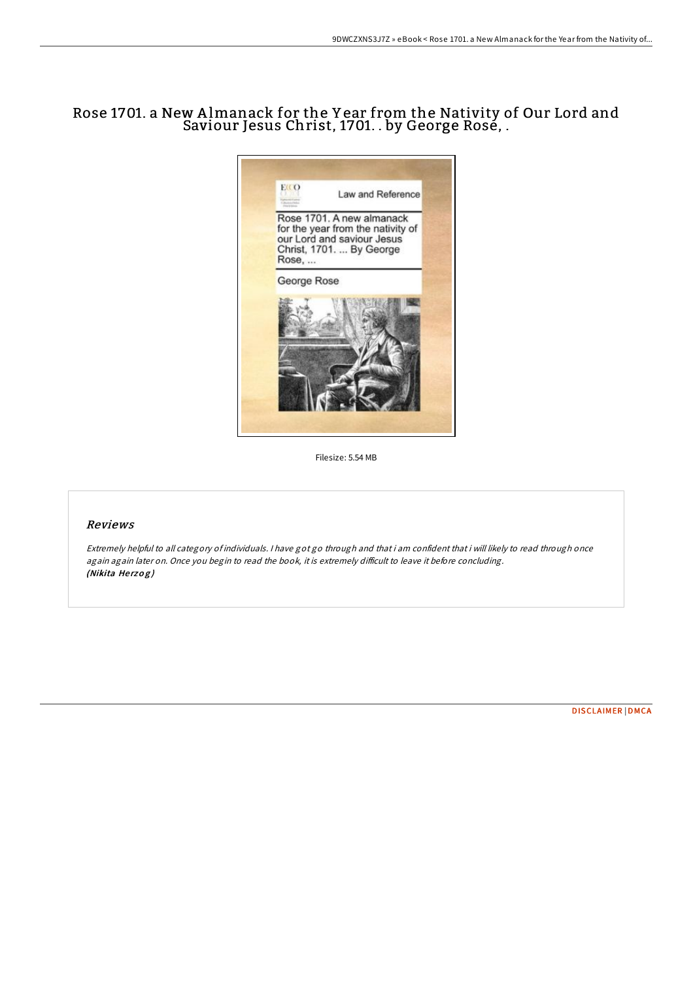# Rose 1701. a New A lmanack for the Y ear from the Nativity of Our Lord and Saviour Jesus Christ, 1701. . by George Rose, .



Filesize: 5.54 MB

### Reviews

Extremely helpful to all category of individuals. <sup>I</sup> have got go through and that i am confident that i will likely to read through once again again later on. Once you begin to read the book, it is extremely difficult to leave it before concluding. (Nikita Herzog)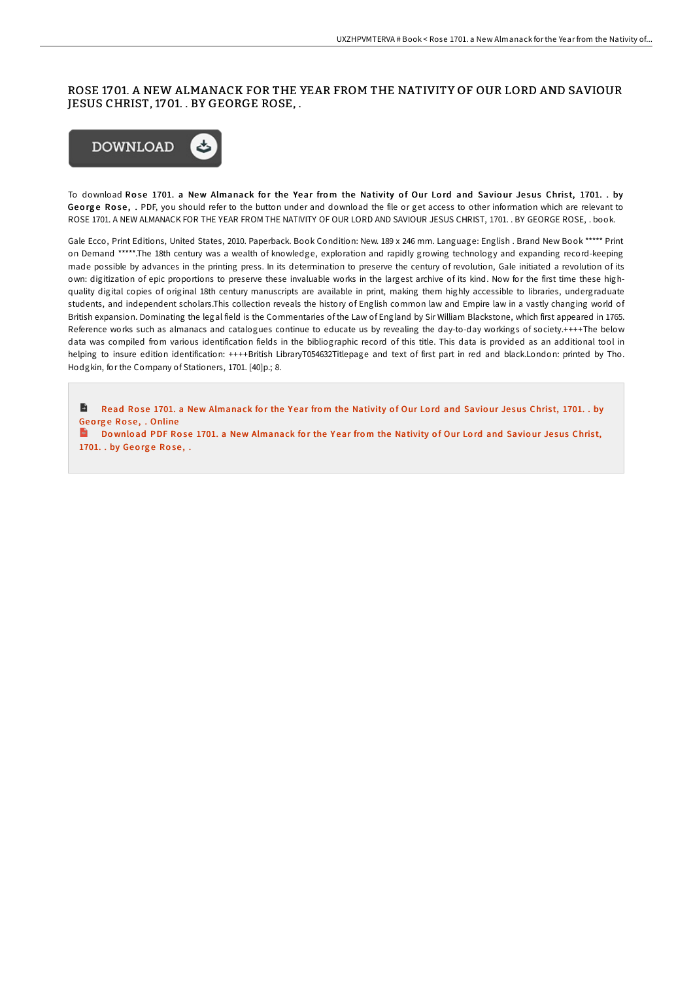## ROSE 1701. A NEW ALMANACK FOR THE YEAR FROM THE NATIVITY OF OUR LORD AND SAVIOUR JESUS CHRIST, 1701. . BY GEORGE ROSE, .



To download Rose 1701. a New Almanack for the Year from the Nativity of Our Lord and Saviour Jesus Christ, 1701. . by George Rose, . PDF, you should refer to the button under and download the file or get access to other information which are relevant to ROSE 1701. A NEW ALMANACK FOR THE YEAR FROM THE NATIVITY OF OUR LORD AND SAVIOUR JESUS CHRIST, 1701. . BY GEORGE ROSE, . book.

Gale Ecco, Print Editions, United States, 2010. Paperback. Book Condition: New. 189 x 246 mm. Language: English . Brand New Book \*\*\*\*\* Print on Demand \*\*\*\*\*.The 18th century was a wealth of knowledge, exploration and rapidly growing technology and expanding record-keeping made possible by advances in the printing press. In its determination to preserve the century of revolution, Gale initiated a revolution of its own: digitization of epic proportions to preserve these invaluable works in the largest archive of its kind. Now for the first time these highquality digital copies of original 18th century manuscripts are available in print, making them highly accessible to libraries, undergraduate students, and independent scholars.This collection reveals the history of English common law and Empire law in a vastly changing world of British expansion. Dominating the legal field is the Commentaries of the Law of England by Sir William Blackstone, which first appeared in 1765. Reference works such as almanacs and catalogues continue to educate us by revealing the day-to-day workings of society.++++The below data was compiled from various identification fields in the bibliographic record of this title. This data is provided as an additional tool in helping to insure edition identification: ++++British LibraryT054632Titlepage and text of first part in red and black.London: printed by Tho. Hodgkin, for the Company of Stationers, 1701. [40]p.; 8.

Ð Read Rose 1701. a New [Almanack](http://almighty24.tech/rose-1701-a-new-almanack-for-the-year-from-the-n.html) for the Year from the Nativity of Our Lord and Saviour Jesus Christ, 1701. . by Geo rg e Ro se , . Online

Do wnload PDF Rose 1701. a New [Almanack](http://almighty24.tech/rose-1701-a-new-almanack-for-the-year-from-the-n.html) for the Year from the Nativity of Our Lord and Saviour Jesus Christ, 1701. . by George Rose, .